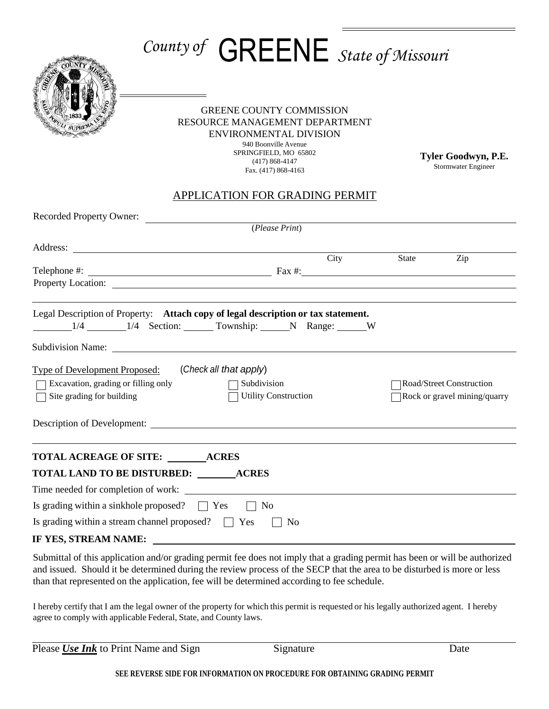## *County of* GREENE *State of Missouri*



## GREENE COUNTY COMMISSION RESOURCE MANAGEMENT DEPARTMENT ENVIRONMENTAL DIVISION

940 Boonville Avenue SPRINGFIELD, MO 65802 (417) 868-4147 Fax. (417) 868-4163

**Tyler Goodwyn, P.E.** Stormwater Engineer

## APPLICATION FOR GRADING PERMIT

| Recorded Property Owner:<br><u> 1980 - Jan James James Barbara, politik eta politik eta politik eta politik eta politik eta politik eta poli</u>                                                                                                                                                                                        |                             |      |  |                          |                              |  |
|-----------------------------------------------------------------------------------------------------------------------------------------------------------------------------------------------------------------------------------------------------------------------------------------------------------------------------------------|-----------------------------|------|--|--------------------------|------------------------------|--|
|                                                                                                                                                                                                                                                                                                                                         | (Please Print)              |      |  |                          |                              |  |
|                                                                                                                                                                                                                                                                                                                                         |                             |      |  |                          |                              |  |
|                                                                                                                                                                                                                                                                                                                                         |                             | City |  | State                    | Zip                          |  |
| Telephone $\#$ : $\qquad \qquad$ $\qquad \qquad$ $\qquad$ $\qquad$ $\qquad$ $\qquad$ $\qquad$ $\qquad$ $\qquad$ $\qquad$ $\qquad$ $\qquad$ $\qquad$ $\qquad$ $\qquad$ $\qquad$ $\qquad$ $\qquad$ $\qquad$ $\qquad$ $\qquad$ $\qquad$ $\qquad$ $\qquad$ $\qquad$ $\qquad$ $\qquad$ $\qquad$ $\qquad$ $\qquad$ $\qquad$ $\qquad$ $\qquad$ |                             |      |  |                          |                              |  |
|                                                                                                                                                                                                                                                                                                                                         |                             |      |  |                          |                              |  |
| Legal Description of Property: Attach copy of legal description or tax statement.<br>1/4 1/4 Section: Township: N Range: W                                                                                                                                                                                                              |                             |      |  |                          |                              |  |
|                                                                                                                                                                                                                                                                                                                                         |                             |      |  |                          |                              |  |
| Type of Development Proposed: (Check all that apply)                                                                                                                                                                                                                                                                                    |                             |      |  |                          |                              |  |
| Excavation, grading or filling only                                                                                                                                                                                                                                                                                                     | $\Box$ Subdivision          |      |  | Road/Street Construction |                              |  |
| Site grading for building                                                                                                                                                                                                                                                                                                               | <b>Utility Construction</b> |      |  |                          | Rock or gravel mining/quarry |  |
|                                                                                                                                                                                                                                                                                                                                         |                             |      |  |                          |                              |  |
| <b>TOTAL ACREAGE OF SITE: ACRES</b>                                                                                                                                                                                                                                                                                                     |                             |      |  |                          |                              |  |
| <b>TOTAL LAND TO BE DISTURBED: ACRES</b>                                                                                                                                                                                                                                                                                                |                             |      |  |                          |                              |  |
|                                                                                                                                                                                                                                                                                                                                         |                             |      |  |                          |                              |  |
| Is grading within a sinkhole proposed? $\Box$ Yes                                                                                                                                                                                                                                                                                       | No                          |      |  |                          |                              |  |
| Is grading within a stream channel proposed? $\Box$ Yes                                                                                                                                                                                                                                                                                 | No                          |      |  |                          |                              |  |
| IF YES, STREAM NAME:                                                                                                                                                                                                                                                                                                                    |                             |      |  |                          |                              |  |

Submittal of this application and/or grading permit fee does not imply that a grading permit has been or will be authorized and issued. Should it be determined during the review process of the SECP that the area to be disturbed is more or less than that represented on the application, fee will be determined according to fee schedule.

I hereby certify that I am the legal owner of the property for which this permit is requested or his legally authorized agent. I hereby agree to comply with applicable Federal, State, and County laws.

Please *Use Ink* to Print Name and Sign Signature Signature Date